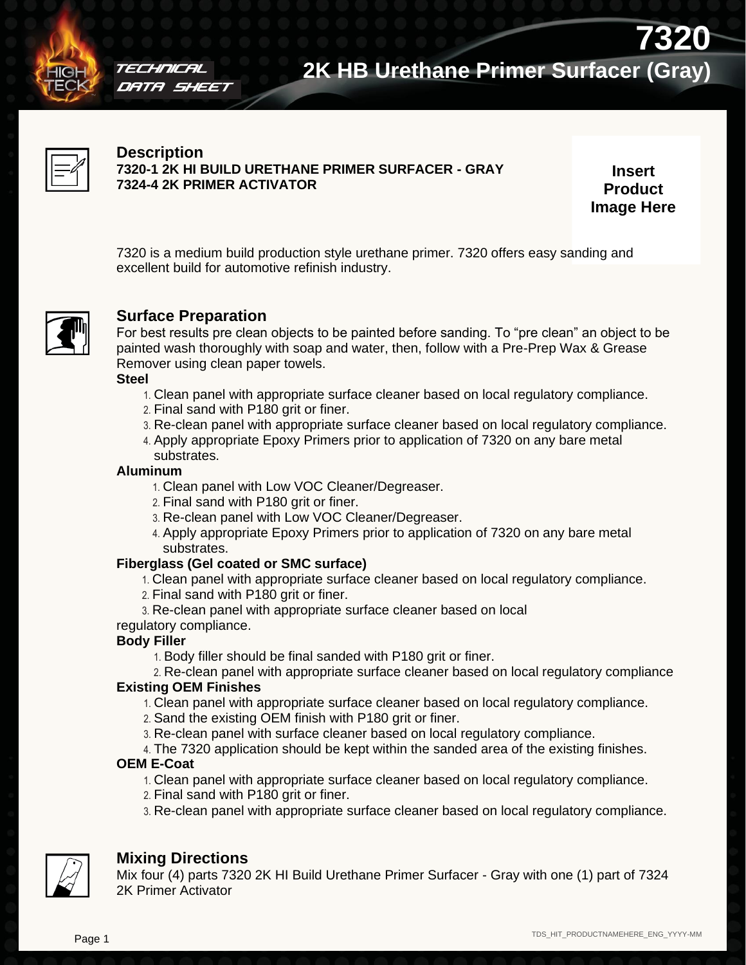

## TECHNICAL DATA SHEET

## **7320 2K HB Urethane Primer Surfacer (Gray)**



## **Description**

**7320-1 2K HI BUILD URETHANE PRIMER SURFACER - GRAY 7324-4 2K PRIMER ACTIVATOR**

**Insert Product Image Here**

7320 is a medium build production style urethane primer. 7320 offers easy sanding and excellent build for automotive refinish industry.



## **Surface Preparation**

For best results pre clean objects to be painted before sanding. To "pre clean" an object to be painted wash thoroughly with soap and water, then, follow with a Pre-Prep Wax & Grease Remover using clean paper towels.

**Steel**

- 1. Clean panel with appropriate surface cleaner based on local regulatory compliance.
- 2. Final sand with P180 grit or finer.
- 3. Re-clean panel with appropriate surface cleaner based on local regulatory compliance.
- 4. Apply appropriate Epoxy Primers prior to application of 7320 on any bare metal substrates.

### **Aluminum**

- 1. Clean panel with Low VOC Cleaner/Degreaser.
- 2. Final sand with P180 grit or finer.
- 3. Re-clean panel with Low VOC Cleaner/Degreaser.
- 4. Apply appropriate Epoxy Primers prior to application of 7320 on any bare metal substrates.

## **Fiberglass (Gel coated or SMC surface)**

- 1. Clean panel with appropriate surface cleaner based on local regulatory compliance.
- 2. Final sand with P180 grit or finer.
- 3. Re-clean panel with appropriate surface cleaner based on local

### regulatory compliance.

### **Body Filler**

- 1. Body filler should be final sanded with P180 grit or finer.
- 2. Re-clean panel with appropriate surface cleaner based on local regulatory compliance

## **Existing OEM Finishes**

- 1. Clean panel with appropriate surface cleaner based on local regulatory compliance.
- 2. Sand the existing OEM finish with P180 grit or finer.
- 3. Re-clean panel with surface cleaner based on local regulatory compliance.
- 4. The 7320 application should be kept within the sanded area of the existing finishes.

## **OEM E-Coat**

- 1. Clean panel with appropriate surface cleaner based on local regulatory compliance.
- 2. Final sand with P180 grit or finer.
- 3. Re-clean panel with appropriate surface cleaner based on local regulatory compliance.



## **Mixing Directions**

Mix four (4) parts 7320 2K HI Build Urethane Primer Surfacer - Gray with one (1) part of 7324 2K Primer Activator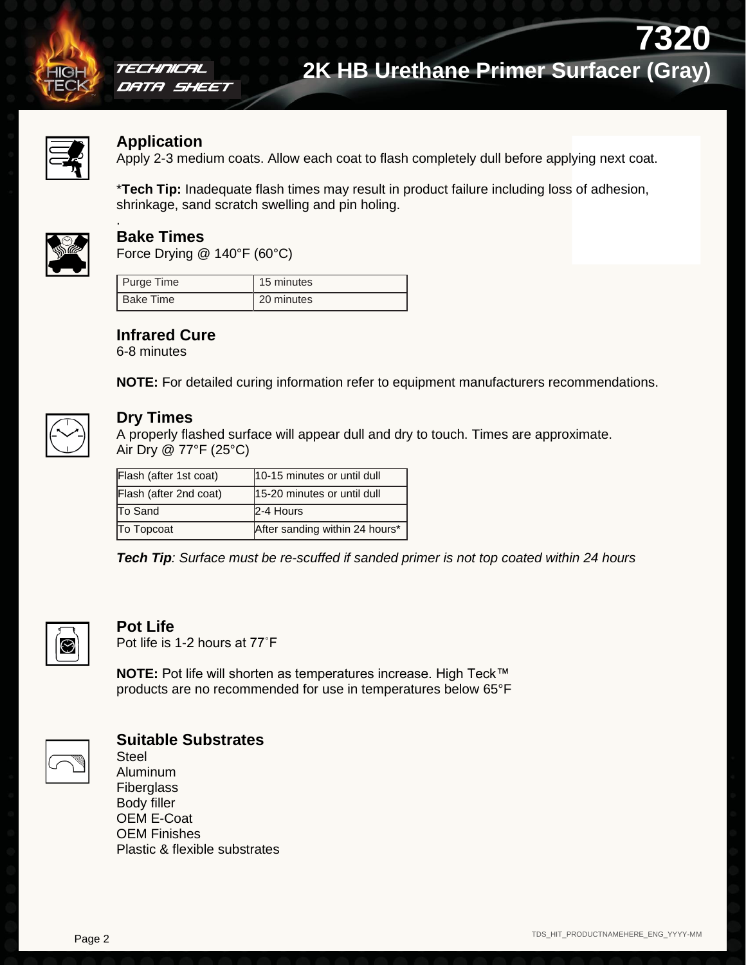

### TECHNICAL DATA SHEET

# **7320 2K HB Urethane Primer Surfacer (Gray)**



### **Application**

Apply 2-3 medium coats. Allow each coat to flash completely dull before applying next coat.

\***Tech Tip:** Inadequate flash times may result in product failure including loss of adhesion, shrinkage, sand scratch swelling and pin holing.



## **Bake Times**

.

Force Drying @ 140°F (60°C)

| Purge Time       | 15 minutes |
|------------------|------------|
| <b>Bake Time</b> | 20 minutes |

## **Infrared Cure**

6-8 minutes

**NOTE:** For detailed curing information refer to equipment manufacturers recommendations.



## **Dry Times**

A properly flashed surface will appear dull and dry to touch. Times are approximate. Air Dry @ 77°F (25°C)

| Flash (after 1st coat) | 10-15 minutes or until dull    |  |  |
|------------------------|--------------------------------|--|--|
| Flash (after 2nd coat) | 15-20 minutes or until dull    |  |  |
| <b>To Sand</b>         | 2-4 Hours                      |  |  |
| To Topcoat             | After sanding within 24 hours* |  |  |

*Tech Tip: Surface must be re-scuffed if sanded primer is not top coated within 24 hours*



## **Pot Life**

Pot life is 1-2 hours at 77˚F

**NOTE:** Pot life will shorten as temperatures increase. High Teck™ products are no recommended for use in temperatures below 65°F



## **Suitable Substrates**

**Steel** Aluminum **Fiberglass** Body filler OEM E-Coat OEM Finishes Plastic & flexible substrates